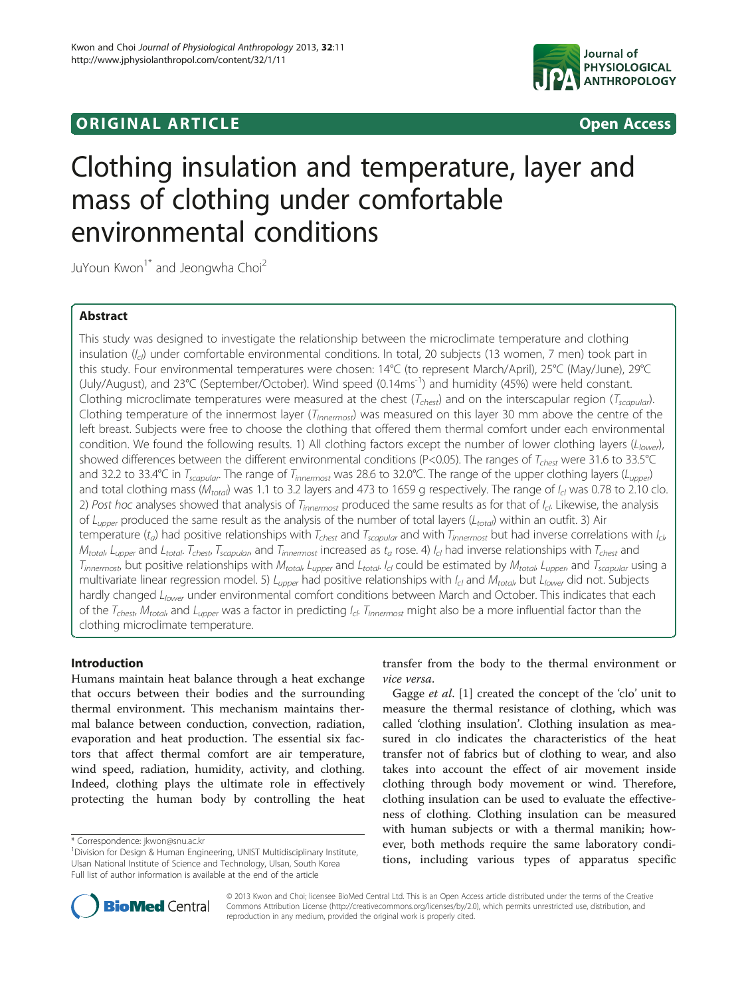## **ORIGINAL ARTICLE CONSERVANCE CONSERVANCE CONSERVANCE CONSERVANCE CONSERVANCE CONSERVANCE CONSERVANCE CONSERVANCE CONSERVANCE CONSERVANCE CONSERVANCE CONSERVANCE CONSERVANCE CONSERVANCE CONSERVANCE CONSERVANCE CONSERVANC**



# Clothing insulation and temperature, layer and mass of clothing under comfortable environmental conditions

JuYoun Kwon<sup>1\*</sup> and Jeongwha Choi<sup>2</sup>

## Abstract

This study was designed to investigate the relationship between the microclimate temperature and clothing insulation ( $I_{cl}$ ) under comfortable environmental conditions. In total, 20 subjects (13 women, 7 men) took part in this study. Four environmental temperatures were chosen: 14°C (to represent March/April), 25°C (May/June), 29°C (July/August), and 23°C (September/October). Wind speed  $(0.14\text{ms}^{-1})$  and humidity (45%) were held constant. Clothing microclimate temperatures were measured at the chest ( $T_{\text{chest}}$ ) and on the interscapular region ( $T_{\text{scapular}}$ ). Clothing temperature of the innermost layer ( $T_{innermost}$ ) was measured on this layer 30 mm above the centre of the left breast. Subjects were free to choose the clothing that offered them thermal comfort under each environmental condition. We found the following results. 1) All clothing factors except the number of lower clothing layers ( $L_{lower}$ ), showed differences between the different environmental conditions (P<0.05). The ranges of  $T_{check}$  were 31.6 to 33.5°C and 32.2 to 33.4°C in  $T_{scapular}$ . The range of  $T_{innermost}$  was 28.6 to 32.0°C. The range of the upper clothing layers (L<sub>upper</sub>) and total clothing mass ( $M_{total}$ ) was 1.1 to 3.2 layers and 473 to 1659 g respectively. The range of  $I_{cl}$  was 0.78 to 2.10 clo. 2) Post hoc analyses showed that analysis of  $T_{inoremost}$  produced the same results as for that of  $I_{c}$ . Likewise, the analysis of  $L_{\text{upper}}$  produced the same result as the analysis of the number of total layers ( $L_{\text{total}}$ ) within an outfit. 3) Air temperature ( $t_a$ ) had positive relationships with  $T_{check}$  and  $T_{scapular}$  and with  $T_{innermost}$  but had inverse correlations with  $I_{ch}$  $M_{total}$ , L<sub>upper</sub> and L<sub>total</sub>. T<sub>chest</sub>, T<sub>scapular</sub>, and T<sub>innermost</sub> increased as t<sub>a</sub> rose. 4) I<sub>cl</sub> had inverse relationships with T<sub>chest</sub> and  $T_{innermost}$  but positive relationships with  $M_{total}$ ,  $L_{upper}$  and  $L_{total}$ .  $L_{c1}$  could be estimated by  $M_{total}$ ,  $L_{upper}$  and  $T_{scapular}$  using a multivariate linear regression model. 5)  $L_{\text{upper}}$  had positive relationships with  $L_{\text{I}}$  and  $M_{\text{total}}$ , but  $L_{\text{lower}}$  did not. Subjects hardly changed  $L_{lower}$  under environmental comfort conditions between March and October. This indicates that each of the  $T_{chest}$  M<sub>total</sub>, and  $L_{upper}$  was a factor in predicting  $I_{ch}$   $T_{innermost}$  might also be a more influential factor than the clothing microclimate temperature.

## Introduction

Humans maintain heat balance through a heat exchange that occurs between their bodies and the surrounding thermal environment. This mechanism maintains thermal balance between conduction, convection, radiation, evaporation and heat production. The essential six factors that affect thermal comfort are air temperature, wind speed, radiation, humidity, activity, and clothing. Indeed, clothing plays the ultimate role in effectively protecting the human body by controlling the heat

transfer from the body to the thermal environment or vice versa.

Gagge et al. [[1\]](#page-6-0) created the concept of the 'clo' unit to measure the thermal resistance of clothing, which was called 'clothing insulation'. Clothing insulation as measured in clo indicates the characteristics of the heat transfer not of fabrics but of clothing to wear, and also takes into account the effect of air movement inside clothing through body movement or wind. Therefore, clothing insulation can be used to evaluate the effectiveness of clothing. Clothing insulation can be measured with human subjects or with a thermal manikin; however, both methods require the same laboratory conditions, including various types of apparatus specific



© 2013 Kwon and Choi; licensee BioMed Central Ltd. This is an Open Access article distributed under the terms of the Creative Commons Attribution License [\(http://creativecommons.org/licenses/by/2.0\)](http://creativecommons.org/licenses/by/2.0), which permits unrestricted use, distribution, and reproduction in any medium, provided the original work is properly cited.

<sup>\*</sup> Correspondence: [jkwon@snu.ac.kr](mailto:jkwon@snu.ac.kr) <sup>1</sup>

<sup>&</sup>lt;sup>1</sup> Division for Design & Human Engineering, UNIST Multidisciplinary Institute, Ulsan National Institute of Science and Technology, Ulsan, South Korea Full list of author information is available at the end of the article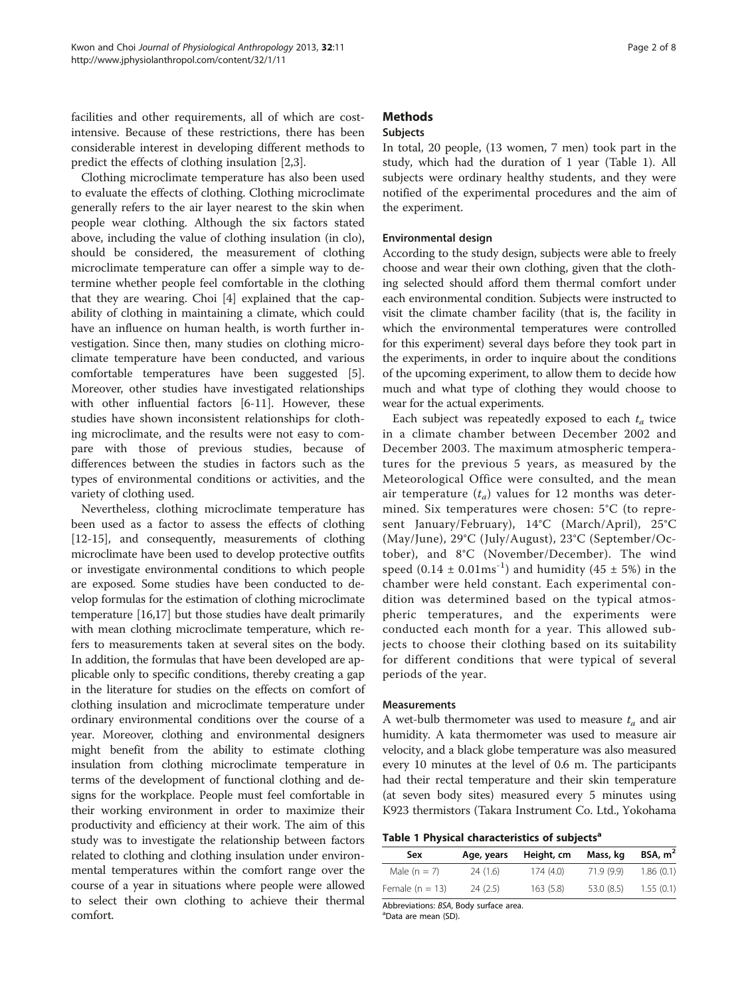facilities and other requirements, all of which are costintensive. Because of these restrictions, there has been considerable interest in developing different methods to predict the effects of clothing insulation [[2,3\]](#page-7-0).

Clothing microclimate temperature has also been used to evaluate the effects of clothing. Clothing microclimate generally refers to the air layer nearest to the skin when people wear clothing. Although the six factors stated above, including the value of clothing insulation (in clo), should be considered, the measurement of clothing microclimate temperature can offer a simple way to determine whether people feel comfortable in the clothing that they are wearing. Choi [\[4](#page-7-0)] explained that the capability of clothing in maintaining a climate, which could have an influence on human health, is worth further investigation. Since then, many studies on clothing microclimate temperature have been conducted, and various comfortable temperatures have been suggested [\[5](#page-7-0)]. Moreover, other studies have investigated relationships with other influential factors [[6-11\]](#page-7-0). However, these studies have shown inconsistent relationships for clothing microclimate, and the results were not easy to compare with those of previous studies, because of differences between the studies in factors such as the types of environmental conditions or activities, and the variety of clothing used.

Nevertheless, clothing microclimate temperature has been used as a factor to assess the effects of clothing [[12-15](#page-7-0)], and consequently, measurements of clothing microclimate have been used to develop protective outfits or investigate environmental conditions to which people are exposed. Some studies have been conducted to develop formulas for the estimation of clothing microclimate temperature [[16,17](#page-7-0)] but those studies have dealt primarily with mean clothing microclimate temperature, which refers to measurements taken at several sites on the body. In addition, the formulas that have been developed are applicable only to specific conditions, thereby creating a gap in the literature for studies on the effects on comfort of clothing insulation and microclimate temperature under ordinary environmental conditions over the course of a year. Moreover, clothing and environmental designers might benefit from the ability to estimate clothing insulation from clothing microclimate temperature in terms of the development of functional clothing and designs for the workplace. People must feel comfortable in their working environment in order to maximize their productivity and efficiency at their work. The aim of this study was to investigate the relationship between factors related to clothing and clothing insulation under environmental temperatures within the comfort range over the course of a year in situations where people were allowed to select their own clothing to achieve their thermal comfort.

## **Methods**

## Subjects

In total, 20 people, (13 women, 7 men) took part in the study, which had the duration of 1 year (Table 1). All subjects were ordinary healthy students, and they were notified of the experimental procedures and the aim of the experiment.

## Environmental design

According to the study design, subjects were able to freely choose and wear their own clothing, given that the clothing selected should afford them thermal comfort under each environmental condition. Subjects were instructed to visit the climate chamber facility (that is, the facility in which the environmental temperatures were controlled for this experiment) several days before they took part in the experiments, in order to inquire about the conditions of the upcoming experiment, to allow them to decide how much and what type of clothing they would choose to wear for the actual experiments.

Each subject was repeatedly exposed to each  $t_a$  twice in a climate chamber between December 2002 and December 2003. The maximum atmospheric temperatures for the previous 5 years, as measured by the Meteorological Office were consulted, and the mean air temperature  $(t_a)$  values for 12 months was determined. Six temperatures were chosen: 5°C (to represent January/February), 14°C (March/April), 25°C (May/June), 29°C (July/August), 23°C (September/October), and 8°C (November/December). The wind speed  $(0.14 \pm 0.01 \text{ms}^{-1})$  and humidity  $(45 \pm 5\%)$  in the chamber were held constant. Each experimental condition was determined based on the typical atmospheric temperatures, and the experiments were conducted each month for a year. This allowed subjects to choose their clothing based on its suitability for different conditions that were typical of several periods of the year.

## Measurements

A wet-bulb thermometer was used to measure  $t_a$  and air humidity. A kata thermometer was used to measure air velocity, and a black globe temperature was also measured every 10 minutes at the level of 0.6 m. The participants had their rectal temperature and their skin temperature (at seven body sites) measured every 5 minutes using K923 thermistors (Takara Instrument Co. Ltd., Yokohama

|  |  | Table 1 Physical characteristics of subjects <sup>a</sup> |  |  |
|--|--|-----------------------------------------------------------|--|--|
|--|--|-----------------------------------------------------------|--|--|

| Sex               | Age, years | Height, cm | Mass, kg  | BSA, m <sup>2</sup> |
|-------------------|------------|------------|-----------|---------------------|
| Male $(n = 7)$    | 24(1.6)    | 174(4.0)   | 71.9(9.9) | 1.86(0.1)           |
| Female $(n = 13)$ | 24(2.5)    | 163(5.8)   | 53.0(8.5) | 1.55(0.1)           |

Abbreviations: BSA, Body surface area

Data are mean (SD).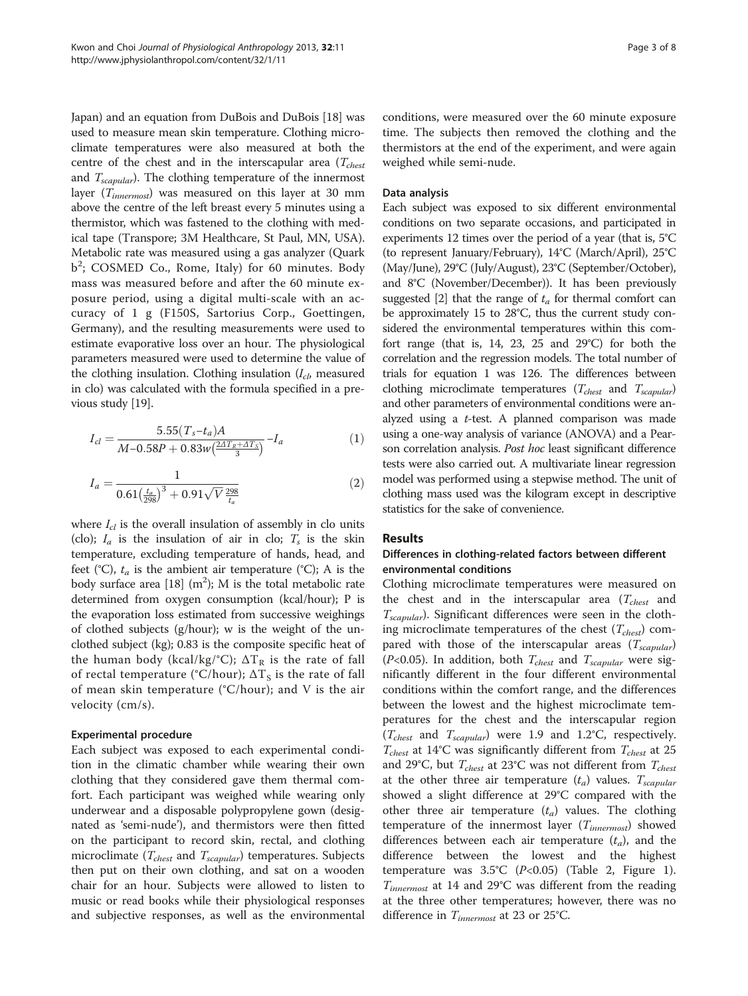Japan) and an equation from DuBois and DuBois [\[18\]](#page-7-0) was used to measure mean skin temperature. Clothing microclimate temperatures were also measured at both the centre of the chest and in the interscapular area  $(T_{\text{check}})$ and  $T_{scanular}$ ). The clothing temperature of the innermost layer ( $T_{innermost}$ ) was measured on this layer at 30 mm above the centre of the left breast every 5 minutes using a thermistor, which was fastened to the clothing with medical tape (Transpore; 3M Healthcare, St Paul, MN, USA). Metabolic rate was measured using a gas analyzer (Quark b<sup>2</sup>; COSMED Co., Rome, Italy) for 60 minutes. Body mass was measured before and after the 60 minute exposure period, using a digital multi-scale with an accuracy of 1 g (F150S, Sartorius Corp., Goettingen, Germany), and the resulting measurements were used to estimate evaporative loss over an hour. The physiological parameters measured were used to determine the value of the clothing insulation. Clothing insulation  $(I_{cb}$  measured in clo) was calculated with the formula specified in a previous study [\[19\]](#page-7-0).

$$
I_{cl} = \frac{5.55(T_s - t_a)A}{M - 0.58P + 0.83W(\frac{2\Delta T_R + \Delta T_s}{3})} - I_a
$$
(1)

$$
I_a = \frac{1}{0.61 \left(\frac{t_a}{298}\right)^3 + 0.91 \sqrt{V} \frac{298}{t_a}}
$$
 (2)

where  $I_{cl}$  is the overall insulation of assembly in clo units (clo);  $I_a$  is the insulation of air in clo;  $T_s$  is the skin temperature, excluding temperature of hands, head, and feet (°C),  $t_a$  is the ambient air temperature (°C); A is the body surface area  $[18]$  (m<sup>2</sup>); M is the total metabolic rate determined from oxygen consumption (kcal/hour); P is the evaporation loss estimated from successive weighings of clothed subjects (g/hour); w is the weight of the unclothed subject (kg); 0.83 is the composite specific heat of the human body (kcal/kg/°C);  $\Delta T_R$  is the rate of fall of rectal temperature (°C/hour);  $\Delta T_S$  is the rate of fall of mean skin temperature (°C/hour); and V is the air velocity (cm/s).

#### Experimental procedure

Each subject was exposed to each experimental condition in the climatic chamber while wearing their own clothing that they considered gave them thermal comfort. Each participant was weighed while wearing only underwear and a disposable polypropylene gown (designated as 'semi-nude'), and thermistors were then fitted on the participant to record skin, rectal, and clothing microclimate ( $T_{\text{check}}$  and  $T_{\text{scapular}}$ ) temperatures. Subjects then put on their own clothing, and sat on a wooden chair for an hour. Subjects were allowed to listen to music or read books while their physiological responses and subjective responses, as well as the environmental conditions, were measured over the 60 minute exposure time. The subjects then removed the clothing and the thermistors at the end of the experiment, and were again weighed while semi-nude.

#### Data analysis

Each subject was exposed to six different environmental conditions on two separate occasions, and participated in experiments 12 times over the period of a year (that is, 5°C (to represent January/February), 14°C (March/April), 25°C (May/June), 29°C (July/August), 23°C (September/October), and 8°C (November/December)). It has been previously suggested [\[2\]](#page-7-0) that the range of  $t_a$  for thermal comfort can be approximately 15 to 28°C, thus the current study considered the environmental temperatures within this comfort range (that is, 14, 23, 25 and 29°C) for both the correlation and the regression models. The total number of trials for equation 1 was 126. The differences between clothing microclimate temperatures  $(T_{\text{check}}$  and  $T_{\text{scapular}})$ and other parameters of environmental conditions were analyzed using a t-test. A planned comparison was made using a one-way analysis of variance (ANOVA) and a Pearson correlation analysis. Post hoc least significant difference tests were also carried out. A multivariate linear regression model was performed using a stepwise method. The unit of clothing mass used was the kilogram except in descriptive statistics for the sake of convenience.

#### Results

#### Differences in clothing-related factors between different environmental conditions

Clothing microclimate temperatures were measured on the chest and in the interscapular area  $(T_{\text{check}}$  and  $T_{scapular}$ ). Significant differences were seen in the clothing microclimate temperatures of the chest  $(T_{check})$  compared with those of the interscapular areas  $(T_{scapular})$ (P<0.05). In addition, both  $T_{\text{check}}$  and  $T_{\text{scapular}}$  were significantly different in the four different environmental conditions within the comfort range, and the differences between the lowest and the highest microclimate temperatures for the chest and the interscapular region  $(T_{\text{check}}$  and  $T_{\text{scapular}})$  were 1.9 and 1.2°C, respectively.  $T_{\text{check}}$  at 14°C was significantly different from  $T_{\text{check}}$  at 25 and 29°C, but  $T_{check}$  at 23°C was not different from  $T_{check}$ at the other three air temperature  $(t_a)$  values.  $T_{scapular}$ showed a slight difference at 29°C compared with the other three air temperature  $(t_a)$  values. The clothing temperature of the innermost layer  $(T_{innermost})$  showed differences between each air temperature  $(t_a)$ , and the difference between the lowest and the highest temperature was  $3.5^{\circ}C$  (P<0.05) (Table [2,](#page-3-0) Figure [1](#page-3-0)).  $T_{\text{innermost}}$  at 14 and 29°C was different from the reading at the three other temperatures; however, there was no difference in  $T_{innermost}$  at 23 or 25°C.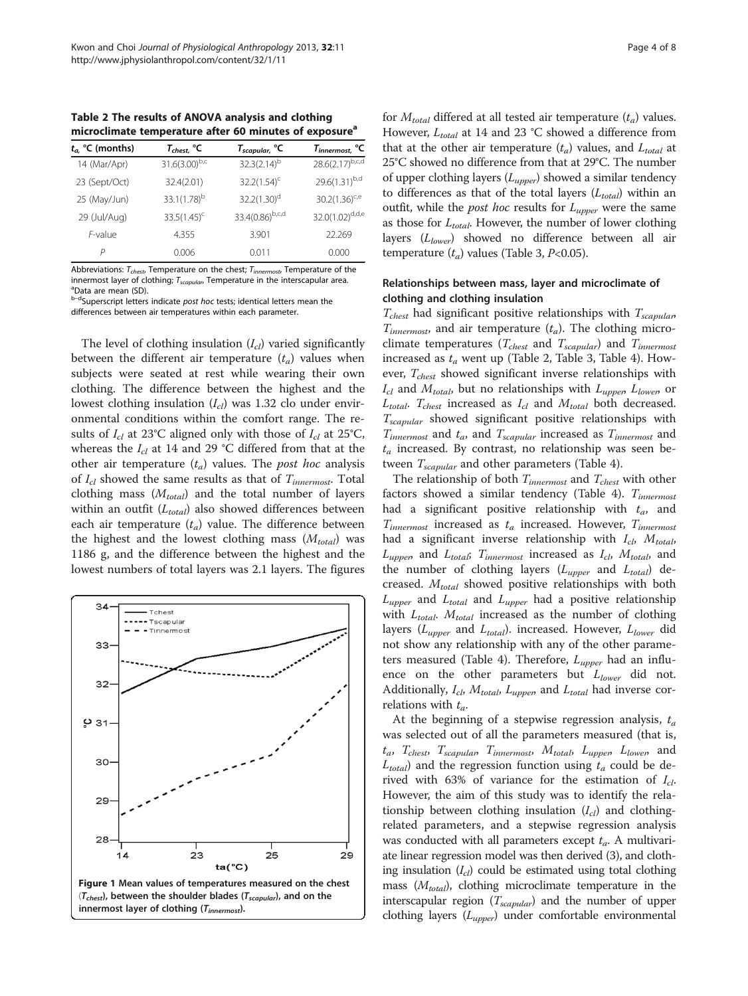<span id="page-3-0"></span>Table 2 The results of ANOVA analysis and clothing microclimate temperature after 60 minutes of exposure<sup>a</sup>

| $t_{a}$ °C (months) | $T_{\mathsf{check},}$ °C | $T_{scapular}$ °C         | $T_{innermost,}$ °C  |
|---------------------|--------------------------|---------------------------|----------------------|
| 14 (Mar/Apr)        | $31.6(3.00)^{b,c}$       | $32.3(2.14)^{b}$          | $28.6(2.17)^{b,c,d}$ |
| 23 (Sept/Oct)       | 32.4(2.01)               | $32.2(1.54)^c$            | $29.6(1.31)^{b,d}$   |
| 25 (May/Jun)        | $33.1(1.78)^{b}$         | $32.2(1.30)$ <sup>d</sup> | $30.2(1.36)^{c,e}$   |
| 29 (Jul/Aug)        | $33.5(1.45)^c$           | $33.4(0.86)^{b,c,d}$      | $32.0(1.02)^{d,d,e}$ |
| F-value             | 4.355                    | 3.901                     | 22.269               |
| P                   | 0.006                    | 0.011                     | 0.000                |

Abbreviations:  $T_{check}$  Temperature on the chest;  $T_{inpermost}$ , Temperature of the innermost layer of clothing;  $T_{scapular}$  Temperature in the interscapular area. Data are mean (SD).

<sup>b–d</sup>Superscript letters indicate *post hoc* tests; identical letters mean the<br>differences between air temperatures within each parameter differences between air temperatures within each parameter.

The level of clothing insulation  $(I_{cl})$  varied significantly between the different air temperature  $(t_a)$  values when subjects were seated at rest while wearing their own clothing. The difference between the highest and the lowest clothing insulation  $(I_{cl})$  was 1.32 clo under environmental conditions within the comfort range. The results of  $I_{c1}$  at 23°C aligned only with those of  $I_{c1}$  at 25°C, whereas the  $I_{cl}$  at 14 and 29 °C differed from that at the other air temperature  $(t_a)$  values. The *post hoc* analysis of  $I_{cl}$  showed the same results as that of  $T_{innermost}$ . Total clothing mass  $(M_{total})$  and the total number of layers within an outfit  $(L_{total})$  also showed differences between each air temperature  $(t_a)$  value. The difference between the highest and the lowest clothing mass  $(M_{total})$  was 1186 g, and the difference between the highest and the lowest numbers of total layers was 2.1 layers. The figures



for  $M_{total}$  differed at all tested air temperature  $(t_a)$  values. However,  $L_{total}$  at 14 and 23 °C showed a difference from that at the other air temperature  $(t_a)$  values, and  $L_{total}$  at 25°C showed no difference from that at 29°C. The number of upper clothing layers  $(L_{\text{unner}})$  showed a similar tendency to differences as that of the total layers  $(L_{total})$  within an outfit, while the *post hoc* results for  $L_{\text{unner}}$  were the same as those for  $L_{total}$ . However, the number of lower clothing layers  $(L<sub>lower</sub>)$  showed no difference between all air temperature  $(t_a)$  values (Table [3](#page-4-0), P<0.05).

#### Relationships between mass, layer and microclimate of clothing and clothing insulation

 $T_{check}$  had significant positive relationships with  $T_{scapulan}$  $T_{\text{innermost}}$ , and air temperature  $(t_a)$ . The clothing microclimate temperatures ( $T_{\text{check}}$  and  $T_{\text{scapular}}$ ) and  $T_{\text{innermost}}$ increased as  $t_a$  went up (Table 2, Table [3](#page-4-0), Table [4](#page-4-0)). However,  $T_{check}$  showed significant inverse relationships with  $I_{cl}$  and  $M_{total}$ , but no relationships with  $L_{upper}$ ,  $L_{lower}$  or  $L_{total}$ .  $T_{chest}$  increased as  $I_{cl}$  and  $M_{total}$  both decreased.  $T_{scapular}$  showed significant positive relationships with  $T_{innermost}$  and  $t_a$ , and  $T_{scapular}$  increased as  $T_{innermost}$  and  $t_a$  increased. By contrast, no relationship was seen between  $T_{scapular}$  and other parameters (Table [4\)](#page-4-0).

The relationship of both  $T_{\text{innermost}}$  and  $T_{\text{check}}$  with other factors showed a similar tendency (Table [4](#page-4-0)).  $T_{\text{innermost}}$ had a significant positive relationship with  $t_a$ , and  $T_{innermost}$  increased as  $t_a$  increased. However,  $T_{innermost}$ had a significant inverse relationship with  $I_{cb}$ ,  $M_{total}$ ,  $L_{upper}$  and  $L_{total}$ ;  $T_{innermost}$  increased as  $I_{cl}$ ,  $M_{total}$ , and the number of clothing layers ( $L_{upper}$  and  $L_{total}$ ) decreased.  $M_{total}$  showed positive relationships with both  $L_{upper}$  and  $L_{total}$  and  $L_{upper}$  had a positive relationship with  $L_{total}$ .  $M_{total}$  increased as the number of clothing layers ( $L_{upper}$  and  $L_{total}$ ). increased. However,  $L_{lower}$  did not show any relationship with any of the other parame-ters measured (Table [4](#page-4-0)). Therefore,  $L_{upper}$  had an influence on the other parameters but  $L_{lower}$  did not. Additionally,  $I_{cb}$ ,  $M_{total}$ ,  $L_{upper}$ , and  $L_{total}$  had inverse correlations with  $t_a$ .

At the beginning of a stepwise regression analysis,  $t_a$ was selected out of all the parameters measured (that is,  $t_a$ ,  $T_{\text{chest}}$ ,  $T_{\text{scapulan}}$ ,  $T_{\text{innermost}}$ ,  $M_{\text{total}}$ ,  $L_{\text{upper}}$ ,  $L_{\text{lower}}$ , and  $L_{total}$ ) and the regression function using  $t_a$  could be derived with 63% of variance for the estimation of  $I_{cl}$ . However, the aim of this study was to identify the relationship between clothing insulation  $(I_{cl})$  and clothingrelated parameters, and a stepwise regression analysis was conducted with all parameters except  $t_a$ . A multivariate linear regression model was then derived (3), and clothing insulation  $(I_{cl})$  could be estimated using total clothing mass  $(M_{total})$ , clothing microclimate temperature in the interscapular region ( $T_{scapular}$ ) and the number of upper clothing layers  $(L_{upper})$  under comfortable environmental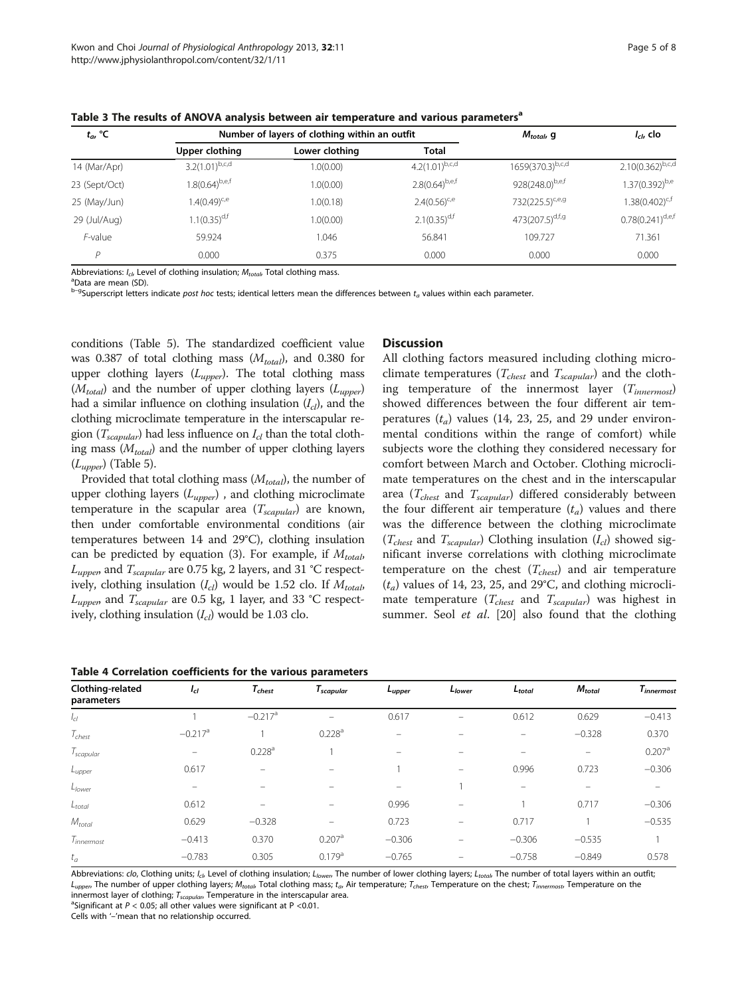<span id="page-4-0"></span>Table 3 The results of ANOVA analysis between air temperature and various parameters<sup>a</sup>

| $t_{a}$ , $\degree$ C |                     | Number of layers of clothing within an outfit | $M_{total}$ , g     | $I_{cb}$ clo                |                       |
|-----------------------|---------------------|-----------------------------------------------|---------------------|-----------------------------|-----------------------|
|                       | Upper clothing      | Lower clothing                                | <b>Total</b>        |                             |                       |
| 14 (Mar/Apr)          | $3.2(1.01)^{b,c,d}$ | 1.0(0.00)                                     | $4.2(1.01)^{b,c,d}$ | $1659(370.3)^{b,c,d}$       | $2.10(0.362)^{b,c,d}$ |
| 23 (Sept/Oct)         | $1.8(0.64)^{b,e,f}$ | 1.0(0.00)                                     | $2.8(0.64)^{b,e,f}$ | 928(248.0)b,e,f             | $1.37(0.392)^{b,e}$   |
| 25 (May/Jun)          | $1.4(0.49)^{c,e}$   | 1.0(0.18)                                     | $2.4(0.56)^{c,e}$   | 732(225.5) <sup>c,e,g</sup> | $1.38(0.402)^{c,f}$   |
| 29 (Jul/Aug)          | $1.1(0.35)^{d,f}$   | 1.0(0.00)                                     | $2.1(0.35)^{d,f}$   | $473(207.5)^{d,f,g}$        | $0.78(0.241)^{d,e,f}$ |
| F-value               | 59.924              | 1.046                                         | 56.841              | 109.727                     | 71.361                |
| D                     | 0.000               | 0.375                                         | 0.000               | 0.000                       | 0.000                 |

Abbreviations:  $I_{ch}$  Level of clothing insulation;  $M_{total}$ , Total clothing mass.

Data are mean (SD).

 $b$ – $9$ Superscript letters indicate *post hoc* tests; identical letters mean the differences between  $t_a$  values within each parameter.

conditions (Table [5\)](#page-5-0). The standardized coefficient value was 0.387 of total clothing mass  $(M_{total})$ , and 0.380 for upper clothing layers  $(L_{upper})$ . The total clothing mass  $(M_{total})$  and the number of upper clothing layers  $(L_{upper})$ had a similar influence on clothing insulation  $(I_{cl})$ , and the clothing microclimate temperature in the interscapular region ( $T_{scapular}$ ) had less influence on  $I_{cl}$  than the total clothing mass  $(M_{total})$  and the number of upper clothing layers  $(L_{upper})$  (Table [5](#page-5-0)).

Provided that total clothing mass  $(M_{total})$ , the number of upper clothing layers  $(L_{upper})$ , and clothing microclimate temperature in the scapular area  $(T_{scapular})$  are known, then under comfortable environmental conditions (air temperatures between 14 and 29°C), clothing insulation can be predicted by equation (3). For example, if  $M_{total}$ ,  $L_{upper}$ , and  $T_{scapular}$  are 0.75 kg, 2 layers, and 31 °C respectively, clothing insulation  $(I_{cl})$  would be 1.52 clo. If  $M_{total}$ ,  $L_{upper}$  and  $T_{scapular}$  are 0.5 kg, 1 layer, and 33 °C respectively, clothing insulation  $(I_{cl})$  would be 1.03 clo.

## **Discussion**

All clothing factors measured including clothing microclimate temperatures ( $T_{\text{check}}$  and  $T_{\text{scapular}}$ ) and the clothing temperature of the innermost layer  $(T_{innermost})$ showed differences between the four different air temperatures  $(t_a)$  values (14, 23, 25, and 29 under environmental conditions within the range of comfort) while subjects wore the clothing they considered necessary for comfort between March and October. Clothing microclimate temperatures on the chest and in the interscapular area ( $T_{\text{check}}$  and  $T_{\text{scapular}}$ ) differed considerably between the four different air temperature  $(t_a)$  values and there was the difference between the clothing microclimate  $(T_{\text{check}}$  and  $T_{\text{scapular}})$  Clothing insulation  $(I_{\text{cl}})$  showed significant inverse correlations with clothing microclimate temperature on the chest  $(T_{\text{check}})$  and air temperature  $(t_a)$  values of 14, 23, 25, and 29°C, and clothing microclimate temperature ( $T_{\text{check}}$  and  $T_{\text{scapular}}$ ) was highest in summer. Seol et al. [\[20](#page-7-0)] also found that the clothing

| Clothing-related<br>parameters | 1 <sub>cl</sub>          | I chest                  | I scapular               | <b>Lupper</b>     | Llower                       | Ltotal                   | $M_{total}$ | l innermos:          |
|--------------------------------|--------------------------|--------------------------|--------------------------|-------------------|------------------------------|--------------------------|-------------|----------------------|
| l cl                           |                          | $-0.217$ <sup>d</sup>    | -                        | 0.617             | $\overline{\phantom{m}}$     | 0.612                    | 0.629       | $-0.413$             |
| $\tau$<br>l <sub>Chest</sub>   | $-0.217$ <sup>a</sup>    |                          | 0.228 <sup>a</sup>       | $\qquad \qquad =$ | $\overline{\phantom{0}}$     | $\overline{\phantom{0}}$ | $-0.328$    | 0.370                |
| $\tau$<br>I scapular           | $\overline{\phantom{0}}$ | $0.228^{\rm a}$          |                          | $\qquad \qquad -$ | $\qquad \qquad \blacksquare$ | -                        | -           | $0.207$ <sup>a</sup> |
| L <sub>upper</sub>             | 0.617                    | $\overline{\phantom{m}}$ | $\overline{\phantom{0}}$ |                   | $\overline{\phantom{m}}$     | 0.996                    | 0.723       | $-0.306$             |

Abbreviations: clo, Clothing units;  $I_{ch}$  Level of clothing insulation;  $L_{lower}$ , The number of lower clothing layers;  $L_{total}$  The number of total layers within an outfit;  $L_{upper}$  The number of upper clothing layers; M<sub>total</sub>, Total clothing mass;  $t_{ar}$  Air temperature;  $T_{\text{check}}$  Temperature on the chest;  $T_{\text{innermost}}$  Temperature on the innermost layer of clothing;  $T_{scapular}$  Temperature in the interscapular area.

Llower –– –– 1 –– – Ltotal 0.612 – – 0.996 – 1 0.717 −0.306 Mtotal 0.629 −0.328 – 0.723 – 0.717 1 −0.535 T<sub>innermost</sub> −0.413 0.370 0.207<sup>a</sup> −0.306 − −0.306 −0.535 1  $t_a$  −0.783 0.305 0.179<sup>a</sup> −0.765 − −0.758 −0.849 0.578

<sup>a</sup>Significant at  $P < 0.05$ ; all other values were significant at P <0.01.

Cells with '–'mean that no relationship occurred.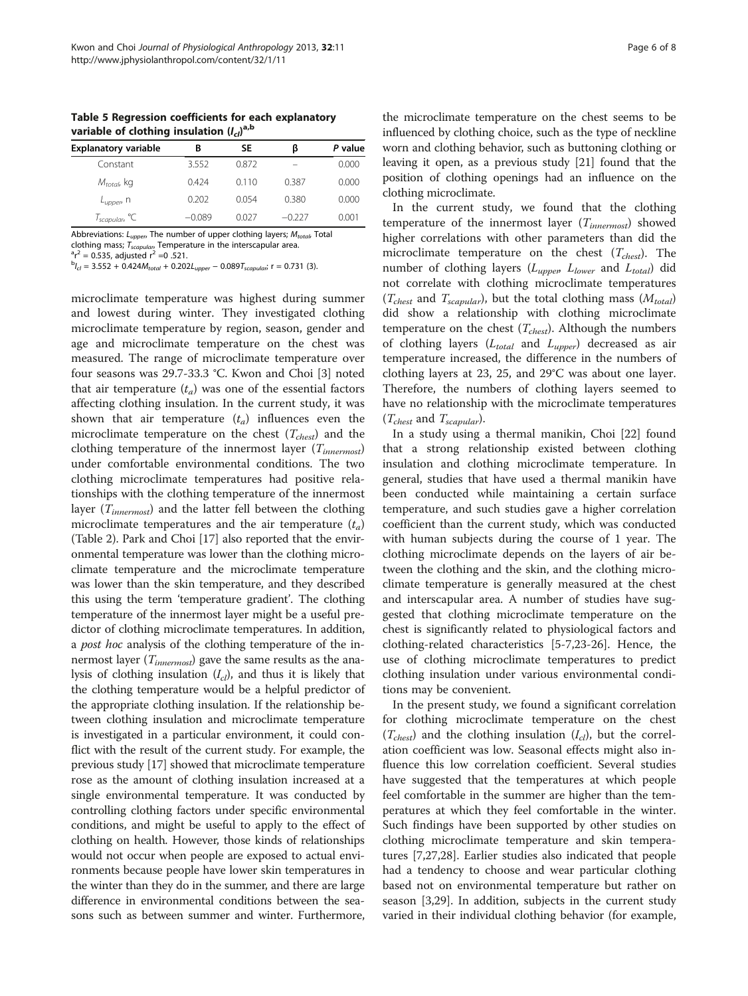<span id="page-5-0"></span>Table 5 Regression coefficients for each explanatory variable of clothing insulation  $\left(l_{\epsilon l}\right)^{\mathtt{a},\mathtt{b}}$ 

| <b>Explanatory variable</b> | В        | SE    | B      | P value |
|-----------------------------|----------|-------|--------|---------|
| Constant                    | 3.552    | 0.872 |        | 0.000   |
| M <sub>total</sub> , kg     | 0.424    | 0.110 | 0.387  | 0.000   |
| L <sub>uppen</sub> n        | 0.202    | 0.054 | 0.380  | 0.000   |
| I <sub>scapular</sub> , °C  | $-0.089$ | 0027  | -0.227 | 0.001   |

Abbreviations:  $L_{upper}$  The number of upper clothing layers;  $M_{total}$ , Total clothing mass;  $T_{scapular}$ , Temperature in the interscapular area.  $r^2 = 0.535$ , adjusted  $r^2 = 0.521$ .<br>b<sub>L =</sub> 3.552 + 0.424M<br>bL = 3.552 + 0.424M

 ${}^{b}I_{c1}$  = 3.552 + 0.424 $M_{total}$  + 0.202L<sub>upper</sub> – 0.089T<sub>scapular</sub>; r = 0.731 (3).

microclimate temperature was highest during summer and lowest during winter. They investigated clothing microclimate temperature by region, season, gender and age and microclimate temperature on the chest was measured. The range of microclimate temperature over four seasons was 29.7-33.3 °C. Kwon and Choi [[3\]](#page-7-0) noted that air temperature  $(t_a)$  was one of the essential factors affecting clothing insulation. In the current study, it was shown that air temperature  $(t_a)$  influences even the microclimate temperature on the chest  $(T_{\text{check}})$  and the clothing temperature of the innermost layer  $(T_{innermost})$ under comfortable environmental conditions. The two clothing microclimate temperatures had positive relationships with the clothing temperature of the innermost layer ( $T_{innermost}$ ) and the latter fell between the clothing microclimate temperatures and the air temperature  $(t_a)$ (Table [2](#page-3-0)). Park and Choi [[17](#page-7-0)] also reported that the environmental temperature was lower than the clothing microclimate temperature and the microclimate temperature was lower than the skin temperature, and they described this using the term 'temperature gradient'. The clothing temperature of the innermost layer might be a useful predictor of clothing microclimate temperatures. In addition, a *post hoc* analysis of the clothing temperature of the innermost layer ( $T_{innermost}$ ) gave the same results as the analysis of clothing insulation  $(I_{cl})$ , and thus it is likely that the clothing temperature would be a helpful predictor of the appropriate clothing insulation. If the relationship between clothing insulation and microclimate temperature is investigated in a particular environment, it could conflict with the result of the current study. For example, the previous study [\[17\]](#page-7-0) showed that microclimate temperature rose as the amount of clothing insulation increased at a single environmental temperature. It was conducted by controlling clothing factors under specific environmental conditions, and might be useful to apply to the effect of clothing on health. However, those kinds of relationships would not occur when people are exposed to actual environments because people have lower skin temperatures in the winter than they do in the summer, and there are large difference in environmental conditions between the seasons such as between summer and winter. Furthermore,

the microclimate temperature on the chest seems to be influenced by clothing choice, such as the type of neckline worn and clothing behavior, such as buttoning clothing or leaving it open, as a previous study [\[21\]](#page-7-0) found that the position of clothing openings had an influence on the clothing microclimate.

In the current study, we found that the clothing temperature of the innermost layer  $(T_{innermost})$  showed higher correlations with other parameters than did the microclimate temperature on the chest  $(T_{\text{check}})$ . The number of clothing layers ( $L_{upper}$   $L_{lower}$  and  $L_{total}$ ) did not correlate with clothing microclimate temperatures  $(T_{\text{check}}$  and  $T_{\text{scapular}})$ , but the total clothing mass  $(M_{\text{total}})$ did show a relationship with clothing microclimate temperature on the chest  $(T_{\text{check}})$ . Although the numbers of clothing layers ( $L_{total}$  and  $L_{upper}$ ) decreased as air temperature increased, the difference in the numbers of clothing layers at 23, 25, and 29°C was about one layer. Therefore, the numbers of clothing layers seemed to have no relationship with the microclimate temperatures  $(T_{\text{check}}$  and  $T_{\text{scapular}})$ .

In a study using a thermal manikin, Choi [\[22](#page-7-0)] found that a strong relationship existed between clothing insulation and clothing microclimate temperature. In general, studies that have used a thermal manikin have been conducted while maintaining a certain surface temperature, and such studies gave a higher correlation coefficient than the current study, which was conducted with human subjects during the course of 1 year. The clothing microclimate depends on the layers of air between the clothing and the skin, and the clothing microclimate temperature is generally measured at the chest and interscapular area. A number of studies have suggested that clothing microclimate temperature on the chest is significantly related to physiological factors and clothing-related characteristics [[5-7](#page-7-0),[23](#page-7-0)-[26\]](#page-7-0). Hence, the use of clothing microclimate temperatures to predict clothing insulation under various environmental conditions may be convenient.

In the present study, we found a significant correlation for clothing microclimate temperature on the chest  $(T_{\text{check}})$  and the clothing insulation  $(I_{\text{cl}})$ , but the correlation coefficient was low. Seasonal effects might also influence this low correlation coefficient. Several studies have suggested that the temperatures at which people feel comfortable in the summer are higher than the temperatures at which they feel comfortable in the winter. Such findings have been supported by other studies on clothing microclimate temperature and skin temperatures [[7,27,28\]](#page-7-0). Earlier studies also indicated that people had a tendency to choose and wear particular clothing based not on environmental temperature but rather on season [[3,29\]](#page-7-0). In addition, subjects in the current study varied in their individual clothing behavior (for example,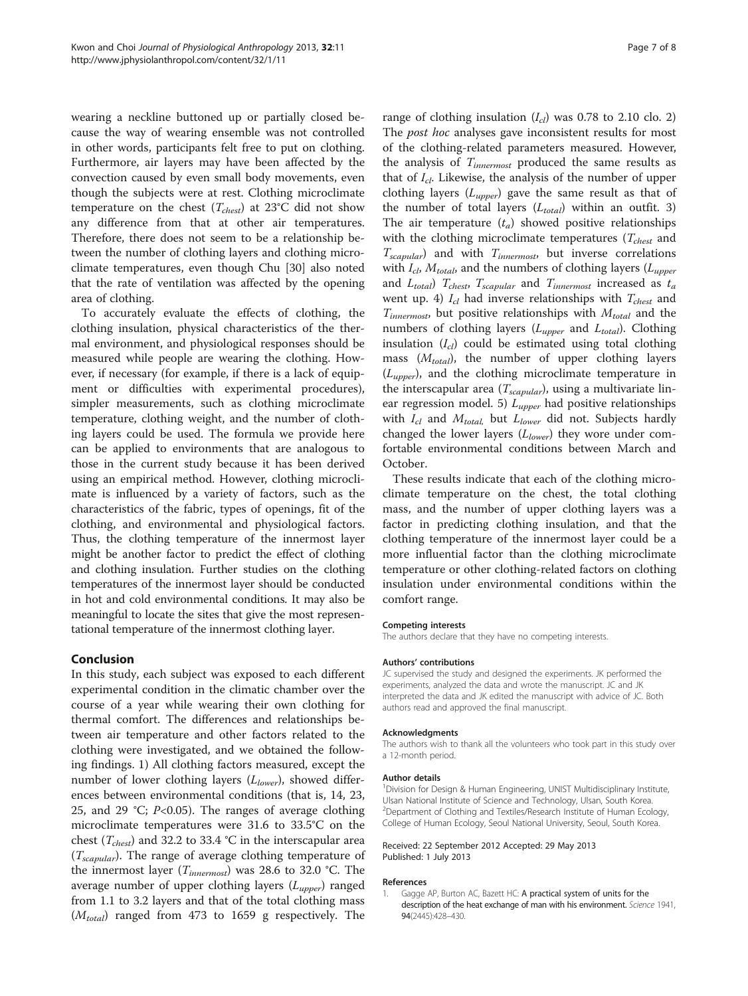<span id="page-6-0"></span>wearing a neckline buttoned up or partially closed because the way of wearing ensemble was not controlled in other words, participants felt free to put on clothing. Furthermore, air layers may have been affected by the convection caused by even small body movements, even though the subjects were at rest. Clothing microclimate temperature on the chest  $(T_{\text{check}})$  at 23°C did not show any difference from that at other air temperatures. Therefore, there does not seem to be a relationship between the number of clothing layers and clothing microclimate temperatures, even though Chu [\[30](#page-7-0)] also noted that the rate of ventilation was affected by the opening area of clothing.

To accurately evaluate the effects of clothing, the clothing insulation, physical characteristics of the thermal environment, and physiological responses should be measured while people are wearing the clothing. However, if necessary (for example, if there is a lack of equipment or difficulties with experimental procedures), simpler measurements, such as clothing microclimate temperature, clothing weight, and the number of clothing layers could be used. The formula we provide here can be applied to environments that are analogous to those in the current study because it has been derived using an empirical method. However, clothing microclimate is influenced by a variety of factors, such as the characteristics of the fabric, types of openings, fit of the clothing, and environmental and physiological factors. Thus, the clothing temperature of the innermost layer might be another factor to predict the effect of clothing and clothing insulation. Further studies on the clothing temperatures of the innermost layer should be conducted in hot and cold environmental conditions. It may also be meaningful to locate the sites that give the most representational temperature of the innermost clothing layer.

#### Conclusion

In this study, each subject was exposed to each different experimental condition in the climatic chamber over the course of a year while wearing their own clothing for thermal comfort. The differences and relationships between air temperature and other factors related to the clothing were investigated, and we obtained the following findings. 1) All clothing factors measured, except the number of lower clothing layers  $(L_{lower})$ , showed differences between environmental conditions (that is, 14, 23, 25, and 29 °C;  $P<0.05$ ). The ranges of average clothing microclimate temperatures were 31.6 to 33.5°C on the chest ( $T_{\text{chest}}$ ) and 32.2 to 33.4 °C in the interscapular area  $(T_{scapular})$ . The range of average clothing temperature of the innermost layer ( $T_{innermost}$ ) was 28.6 to 32.0 °C. The average number of upper clothing layers  $(L_{upper})$  ranged from 1.1 to 3.2 layers and that of the total clothing mass  $(M_{total})$  ranged from 473 to 1659 g respectively. The range of clothing insulation  $(I_{cl})$  was 0.78 to 2.10 clo. 2) The *post hoc* analyses gave inconsistent results for most of the clothing-related parameters measured. However, the analysis of  $T_{innermost}$  produced the same results as that of  $I_{cl}$ . Likewise, the analysis of the number of upper clothing layers  $(L_{upper})$  gave the same result as that of the number of total layers  $(L_{total})$  within an outfit. 3) The air temperature  $(t_a)$  showed positive relationships with the clothing microclimate temperatures  $(T_{check}$  and  $T_{scapular}$ ) and with  $T_{innermost}$ , but inverse correlations with  $I_{ch}$ ,  $M_{total}$ , and the numbers of clothing layers ( $L_{upper}$ and  $L_{total}$ )  $T_{check}$   $T_{scapular}$  and  $T_{innermost}$  increased as  $t_a$ went up. 4)  $I_{cl}$  had inverse relationships with  $T_{check}$  and  $T_{\text{innermost}}$ , but positive relationships with  $M_{\text{total}}$  and the numbers of clothing layers ( $L_{upper}$  and  $L_{total}$ ). Clothing insulation  $(I_{cl})$  could be estimated using total clothing mass  $(M_{total})$ , the number of upper clothing layers  $(L_{\text{upper}})$ , and the clothing microclimate temperature in the interscapular area ( $T_{scapular}$ ), using a multivariate linear regression model. 5)  $L_{\text{unner}}$  had positive relationships with  $I_{cl}$  and  $M_{total}$ , but  $L_{lower}$  did not. Subjects hardly changed the lower layers  $(L<sub>lower</sub>)$  they wore under comfortable environmental conditions between March and October.

These results indicate that each of the clothing microclimate temperature on the chest, the total clothing mass, and the number of upper clothing layers was a factor in predicting clothing insulation, and that the clothing temperature of the innermost layer could be a more influential factor than the clothing microclimate temperature or other clothing-related factors on clothing insulation under environmental conditions within the comfort range.

#### Competing interests

The authors declare that they have no competing interests.

#### Authors' contributions

JC supervised the study and designed the experiments. JK performed the experiments, analyzed the data and wrote the manuscript. JC and JK interpreted the data and JK edited the manuscript with advice of JC. Both authors read and approved the final manuscript.

#### Acknowledgments

The authors wish to thank all the volunteers who took part in this study over a 12-month period.

#### Author details

<sup>1</sup> Division for Design & Human Engineering, UNIST Multidisciplinary Institute, Ulsan National Institute of Science and Technology, Ulsan, South Korea. <sup>2</sup>Department of Clothing and Textiles/Research Institute of Human Ecology, College of Human Ecology, Seoul National University, Seoul, South Korea.

#### Received: 22 September 2012 Accepted: 29 May 2013 Published: 1 July 2013

#### References

1. Gagge AP, Burton AC, Bazett HC: A practical system of units for the description of the heat exchange of man with his environment. Science 1941, 94(2445):428–430.